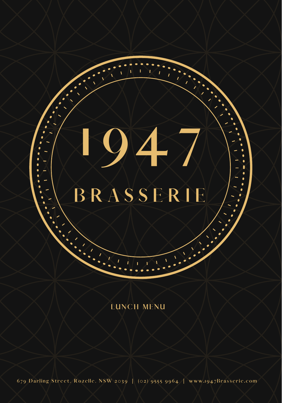## **1 9 4 7 B R A S S E R I E**

 $L$  **UNCH MENU** 

679 Darling Street, Rozelle, NSW 2039 | (02) 9555 9964 | www.1947Brasserie.com